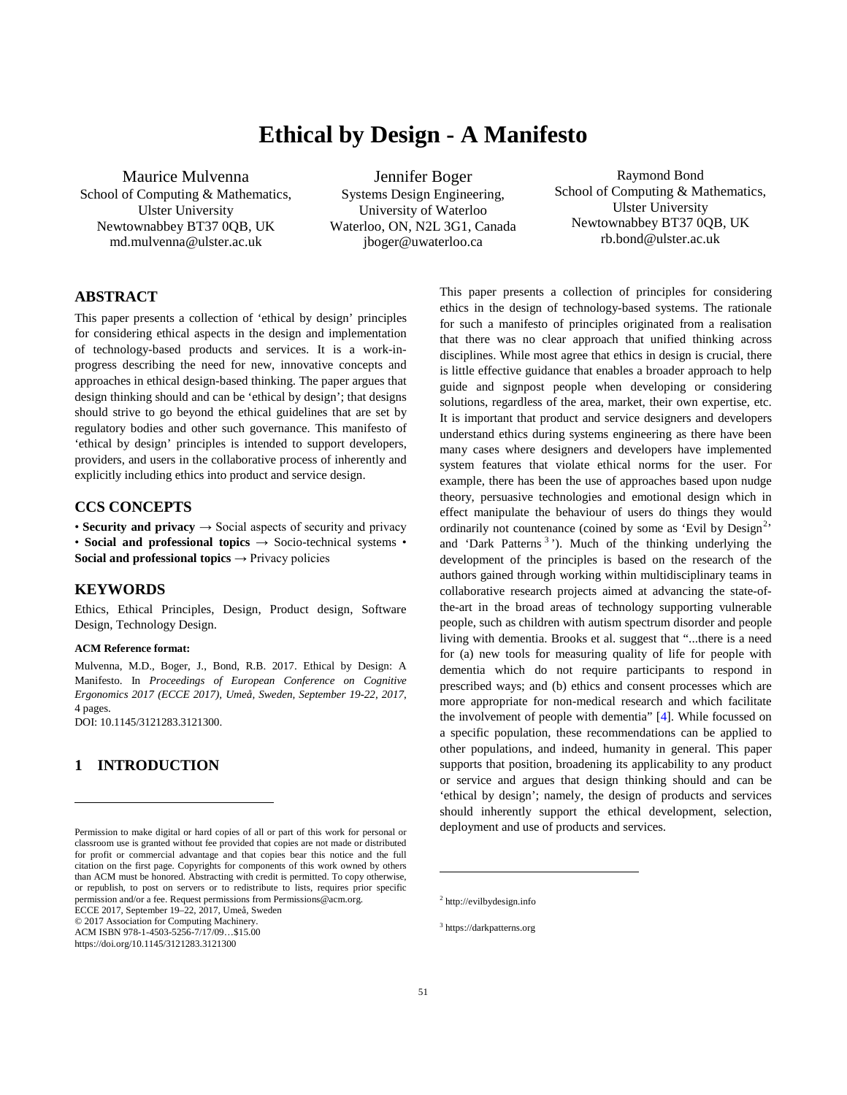# **Ethical by Design - A Manifesto**

Maurice Mulvenna

School of Computing & Mathematics, Ulster University Newtownabbey BT37 0QB, UK md.mulvenna@ulster.ac.uk

Jennifer Boger Systems Design Engineering, University of Waterloo Waterloo, ON, N2L 3G1, Canada jboger@uwaterloo.ca

Raymond Bond School of Computing & Mathematics, Ulster University Newtownabbey BT37 0QB, UK rb.bond@ulster.ac.uk

### **ABSTRACT[1](#page-0-0)**

This paper presents a collection of 'ethical by design' principles for considering ethical aspects in the design and implementation of technology-based products and services. It is a work-inprogress describing the need for new, innovative concepts and approaches in ethical design-based thinking. The paper argues that design thinking should and can be 'ethical by design'; that designs should strive to go beyond the ethical guidelines that are set by regulatory bodies and other such governance. This manifesto of 'ethical by design' principles is intended to support developers, providers, and users in the collaborative process of inherently and explicitly including ethics into product and service design.

### **CCS CONCEPTS**

• **Security and privacy**  $\rightarrow$  Social aspects of security and privacy • **Social and professional topics**  $\rightarrow$  Socio-technical systems • **Social and professional topics**  $\rightarrow$  Privacy policies

#### **KEYWORDS**

Ethics, Ethical Principles, Design, Product design, Software Design, Technology Design.

#### **ACM Reference format:**

Mulvenna, M.D., Boger, J., Bond, R.B. 2017. Ethical by Design: A Manifesto. In *Proceedings of European Conference on Cognitive Ergonomics 2017 (ECCE 2017), Umeå, Sweden, September 19-22, 2017*, 4 pages. DOI: 10.1145/3121283.3121300.

## **1 INTRODUCTION**

 $\overline{\phantom{a}}$ 

<span id="page-0-1"></span>© 2017 Association for Computing Machinery.

<span id="page-0-2"></span>ACM ISBN 978-1-4503-5256-7/17/09…\$15.00

This paper presents a collection of principles for considering ethics in the design of technology-based systems. The rationale for such a manifesto of principles originated from a realisation that there was no clear approach that unified thinking across disciplines. While most agree that ethics in design is crucial, there is little effective guidance that enables a broader approach to help guide and signpost people when developing or considering solutions, regardless of the area, market, their own expertise, etc. It is important that product and service designers and developers understand ethics during systems engineering as there have been many cases where designers and developers have implemented system features that violate ethical norms for the user. For example, there has been the use of approaches based upon nudge theory, persuasive technologies and emotional design which in effect manipulate the behaviour of users do things they would ordinarily not countenance (coined by some as 'Evil by Design<sup>[2](#page-0-1)</sup>' and 'Dark Patterns<sup>[3](#page-0-2)</sup>'). Much of the thinking underlying the development of the principles is based on the research of the authors gained through working within multidisciplinary teams in collaborative research projects aimed at advancing the state-ofthe-art in the broad areas of technology supporting vulnerable people, such as children with autism spectrum disorder and people living with dementia. Brooks et al. suggest that "...there is a need for (a) new tools for measuring quality of life for people with dementia which do not require participants to respond in prescribed ways; and (b) ethics and consent processes which are more appropriate for non-medical research and which facilitate the involvement of people with dementia" [\[4\]](#page-3-0). While focussed on a specific population, these recommendations can be applied to other populations, and indeed, humanity in general. This paper supports that position, broadening its applicability to any product or service and argues that design thinking should and can be 'ethical by design'; namely, the design of products and services should inherently support the ethical development, selection, deployment and use of products and services.

l

<span id="page-0-0"></span>Permission to make digital or hard copies of all or part of this work for personal or classroom use is granted without fee provided that copies are not made or distributed for profit or commercial advantage and that copies bear this notice and the full citation on the first page. Copyrights for components of this work owned by others than ACM must be honored. Abstracting with credit is permitted. To copy otherwise, or republish, to post on servers or to redistribute to lists, requires prior specific permission and/or a fee. Request permissions from Permissions@acm.org. ECCE 2017, September 19–22, 2017, Umeå, Sweden

https://doi.org/10.1145/3121283.3121300

<sup>2</sup> http://evilbydesign.info

<sup>3</sup> https://darkpatterns.org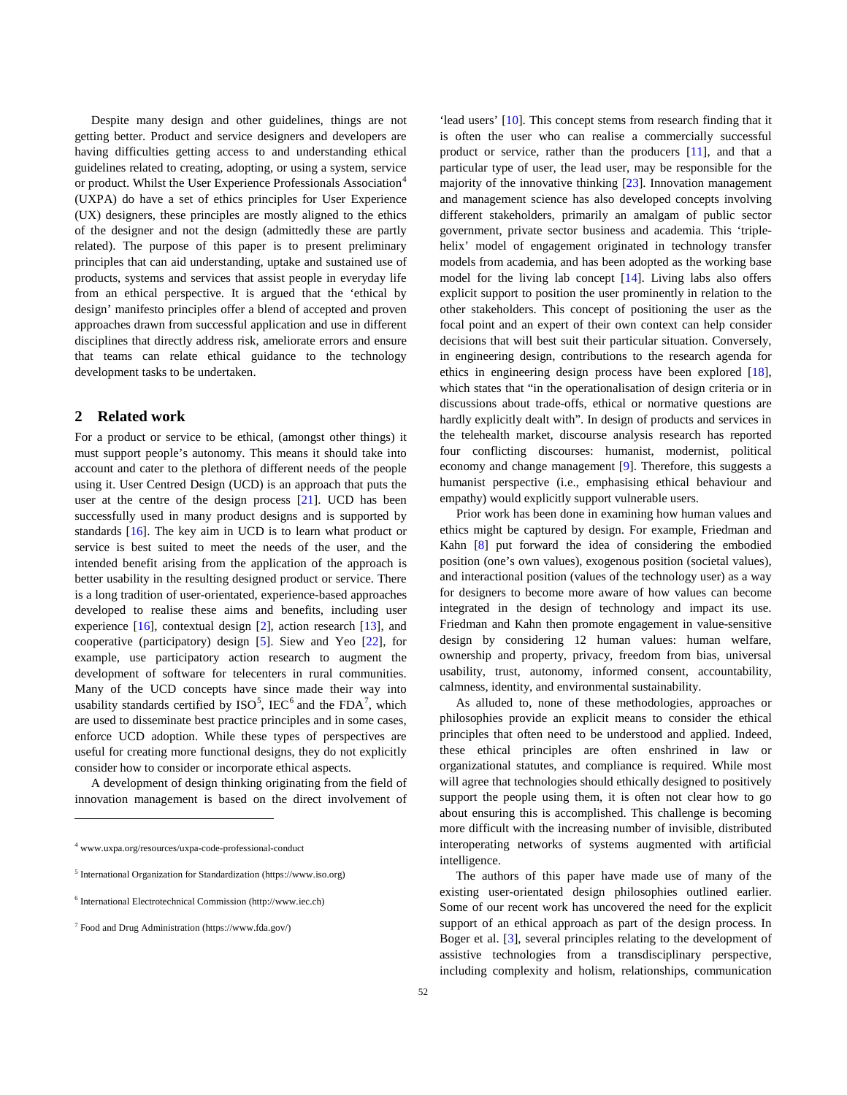Despite many design and other guidelines, things are not getting better. Product and service designers and developers are having difficulties getting access to and understanding ethical guidelines related to creating, adopting, or using a system, service or product. Whilst the User Experience Professionals Association<sup>[4](#page-1-0)</sup> (UXPA) do have a set of ethics principles for User Experience (UX) designers, these principles are mostly aligned to the ethics of the designer and not the design (admittedly these are partly related). The purpose of this paper is to present preliminary principles that can aid understanding, uptake and sustained use of products, systems and services that assist people in everyday life from an ethical perspective. It is argued that the 'ethical by design' manifesto principles offer a blend of accepted and proven approaches drawn from successful application and use in different disciplines that directly address risk, ameliorate errors and ensure that teams can relate ethical guidance to the technology development tasks to be undertaken.

### **2 Related work**

For a product or service to be ethical, (amongst other things) it must support people's autonomy. This means it should take into account and cater to the plethora of different needs of the people using it. User Centred Design (UCD) is an approach that puts the user at the centre of the design process [\[21\]](#page-3-0). UCD has been successfully used in many product designs and is supported by standards [\[16\]](#page-3-0). The key aim in UCD is to learn what product or service is best suited to meet the needs of the user, and the intended benefit arising from the application of the approach is better usability in the resulting designed product or service. There is a long tradition of user-orientated, experience-based approaches developed to realise these aims and benefits, including user experience [\[16\]](#page-3-0), contextual design [\[2\]](#page-3-0), action research [\[13\]](#page-3-0), and cooperative (participatory) design [\[5\]](#page-3-0). Siew and Yeo [\[22\]](#page-3-0), for example, use participatory action research to augment the development of software for telecenters in rural communities. Many of the UCD concepts have since made their way into usability standards certified by  $ISO^5$  $ISO^5$ , IEC<sup>[6](#page-1-2)</sup> and the FDA<sup>[7](#page-1-3)</sup>, which are used to disseminate best practice principles and in some cases, enforce UCD adoption. While these types of perspectives are useful for creating more functional designs, they do not explicitly consider how to consider or incorporate ethical aspects.

A development of design thinking originating from the field of innovation management is based on the direct involvement of

l

'lead users' [\[10\]](#page-3-0). This concept stems from research finding that it is often the user who can realise a commercially successful product or service, rather than the producers [\[11\]](#page-3-0), and that a particular type of user, the lead user, may be responsible for the majority of the innovative thinking [\[23\]](#page-3-0). Innovation management and management science has also developed concepts involving different stakeholders, primarily an amalgam of public sector government, private sector business and academia. This 'triplehelix' model of engagement originated in technology transfer models from academia, and has been adopted as the working base model for the living lab concept [\[14\]](#page-3-0). Living labs also offers explicit support to position the user prominently in relation to the other stakeholders. This concept of positioning the user as the focal point and an expert of their own context can help consider decisions that will best suit their particular situation. Conversely, in engineering design, contributions to the research agenda for ethics in engineering design process have been explored [\[18\]](#page-3-0), which states that "in the operationalisation of design criteria or in discussions about trade-offs, ethical or normative questions are hardly explicitly dealt with". In design of products and services in the telehealth market, discourse analysis research has reported four conflicting discourses: humanist, modernist, political economy and change management [\[9\]](#page-3-0). Therefore, this suggests a humanist perspective (i.e., emphasising ethical behaviour and empathy) would explicitly support vulnerable users.

Prior work has been done in examining how human values and ethics might be captured by design. For example, Friedman and Kahn [\[8\]](#page-3-0) put forward the idea of considering the embodied position (one's own values), exogenous position (societal values), and interactional position (values of the technology user) as a way for designers to become more aware of how values can become integrated in the design of technology and impact its use. Friedman and Kahn then promote engagement in value-sensitive design by considering 12 human values: human welfare, ownership and property, privacy, freedom from bias, universal usability, trust, autonomy, informed consent, accountability, calmness, identity, and environmental sustainability.

As alluded to, none of these methodologies, approaches or philosophies provide an explicit means to consider the ethical principles that often need to be understood and applied. Indeed, these ethical principles are often enshrined in law or organizational statutes, and compliance is required. While most will agree that technologies should ethically designed to positively support the people using them, it is often not clear how to go about ensuring this is accomplished. This challenge is becoming more difficult with the increasing number of invisible, distributed interoperating networks of systems augmented with artificial intelligence.

The authors of this paper have made use of many of the existing user-orientated design philosophies outlined earlier. Some of our recent work has uncovered the need for the explicit support of an ethical approach as part of the design process. In Boger et al. [\[3\]](#page-3-0), several principles relating to the development of assistive technologies from a transdisciplinary perspective, including complexity and holism, relationships, communication

<span id="page-1-0"></span><sup>4</sup> www.uxpa.org/resources/uxpa-code-professional-conduct

<span id="page-1-1"></span><sup>5</sup> International Organization for Standardization (https://www.iso.org)

<span id="page-1-2"></span><sup>6</sup> International Electrotechnical Commission (http://www.iec.ch)

<span id="page-1-3"></span><sup>7</sup> Food and Drug Administration (https://www.fda.gov/)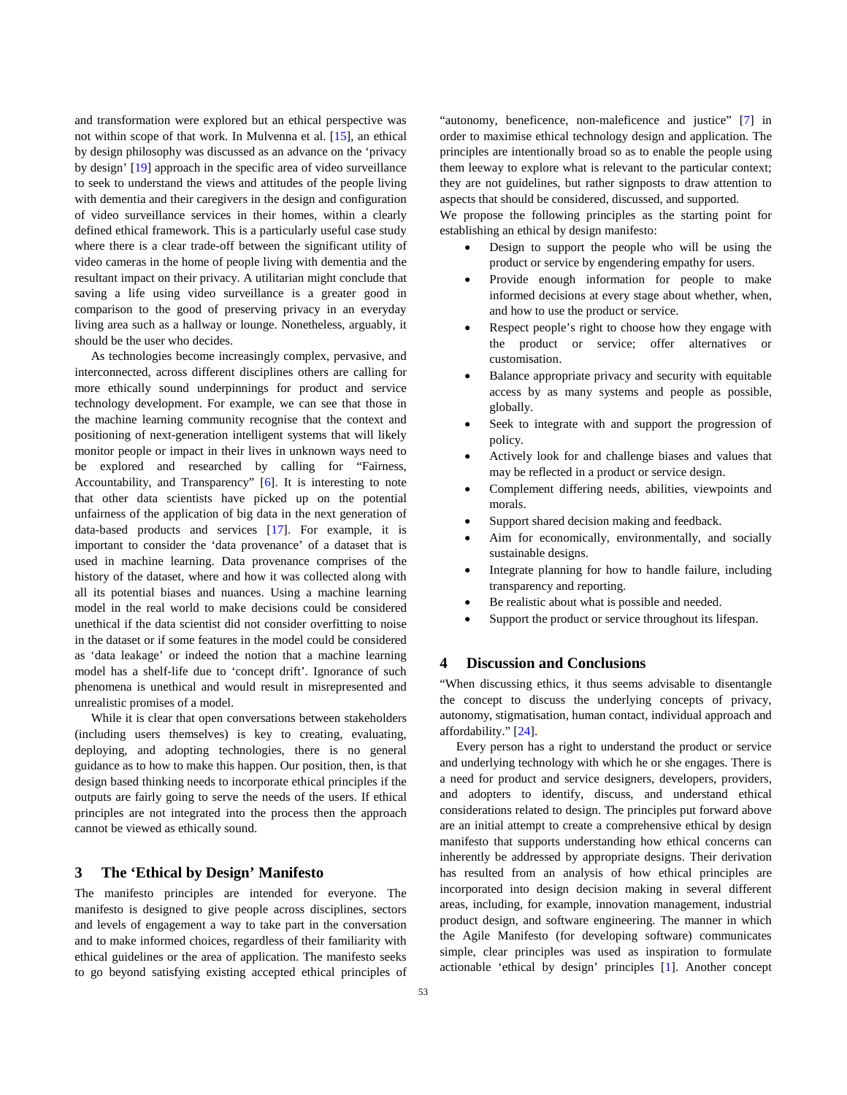and transformation were explored but an ethical perspective was not within scope of that work. In Mulvenna et al. [\[15\]](#page-3-0), an ethical by design philosophy was discussed as an advance on the 'privacy by design' [\[19\]](#page-3-0) approach in the specific area of video surveillance to seek to understand the views and attitudes of the people living with dementia and their caregivers in the design and configuration of video surveillance services in their homes, within a clearly defined ethical framework. This is a particularly useful case study where there is a clear trade-off between the significant utility of video cameras in the home of people living with dementia and the resultant impact on their privacy. A utilitarian might conclude that saving a life using video surveillance is a greater good in comparison to the good of preserving privacy in an everyday living area such as a hallway or lounge. Nonetheless, arguably, it should be the user who decides.

As technologies become increasingly complex, pervasive, and interconnected, across different disciplines others are calling for more ethically sound underpinnings for product and service technology development. For example, we can see that those in the machine learning community recognise that the context and positioning of next-generation intelligent systems that will likely monitor people or impact in their lives in unknown ways need to be explored and researched by calling for "Fairness, Accountability, and Transparency" [\[6\]](#page-3-0). It is interesting to note that other data scientists have picked up on the potential unfairness of the application of big data in the next generation of data-based products and services [\[17\]](#page-3-0). For example, it is important to consider the 'data provenance' of a dataset that is used in machine learning. Data provenance comprises of the history of the dataset, where and how it was collected along with all its potential biases and nuances. Using a machine learning model in the real world to make decisions could be considered unethical if the data scientist did not consider overfitting to noise in the dataset or if some features in the model could be considered as 'data leakage' or indeed the notion that a machine learning model has a shelf-life due to 'concept drift'. Ignorance of such phenomena is unethical and would result in misrepresented and unrealistic promises of a model.

While it is clear that open conversations between stakeholders (including users themselves) is key to creating, evaluating, deploying, and adopting technologies, there is no general guidance as to how to make this happen. Our position, then, is that design based thinking needs to incorporate ethical principles if the outputs are fairly going to serve the needs of the users. If ethical principles are not integrated into the process then the approach cannot be viewed as ethically sound.

### **3 The 'Ethical by Design' Manifesto**

The manifesto principles are intended for everyone. The manifesto is designed to give people across disciplines, sectors and levels of engagement a way to take part in the conversation and to make informed choices, regardless of their familiarity with ethical guidelines or the area of application. The manifesto seeks to go beyond satisfying existing accepted ethical principles of

"autonomy, beneficence, non-maleficence and justice" [\[7\]](#page-3-0) in order to maximise ethical technology design and application. The principles are intentionally broad so as to enable the people using them leeway to explore what is relevant to the particular context; they are not guidelines, but rather signposts to draw attention to aspects that should be considered, discussed, and supported.

We propose the following principles as the starting point for establishing an ethical by design manifesto:

- Design to support the people who will be using the product or service by engendering empathy for users.
- Provide enough information for people to make informed decisions at every stage about whether, when, and how to use the product or service.
- Respect people's right to choose how they engage with the product or service; offer alternatives or customisation.
- Balance appropriate privacy and security with equitable access by as many systems and people as possible, globally.
- Seek to integrate with and support the progression of policy.
- Actively look for and challenge biases and values that may be reflected in a product or service design.
- Complement differing needs, abilities, viewpoints and morals.
- Support shared decision making and feedback.
- Aim for economically, environmentally, and socially sustainable designs.
- Integrate planning for how to handle failure, including transparency and reporting.
- Be realistic about what is possible and needed.
- Support the product or service throughout its lifespan.

### **4 Discussion and Conclusions**

"When discussing ethics, it thus seems advisable to disentangle the concept to discuss the underlying concepts of privacy, autonomy, stigmatisation, human contact, individual approach and affordability." [\[24\]](#page-3-0).

Every person has a right to understand the product or service and underlying technology with which he or she engages. There is a need for product and service designers, developers, providers, and adopters to identify, discuss, and understand ethical considerations related to design. The principles put forward above are an initial attempt to create a comprehensive ethical by design manifesto that supports understanding how ethical concerns can inherently be addressed by appropriate designs. Their derivation has resulted from an analysis of how ethical principles are incorporated into design decision making in several different areas, including, for example, innovation management, industrial product design, and software engineering. The manner in which the Agile Manifesto (for developing software) communicates simple, clear principles was used as inspiration to formulate actionable 'ethical by design' principles [\[1\]](#page-3-0). Another concept